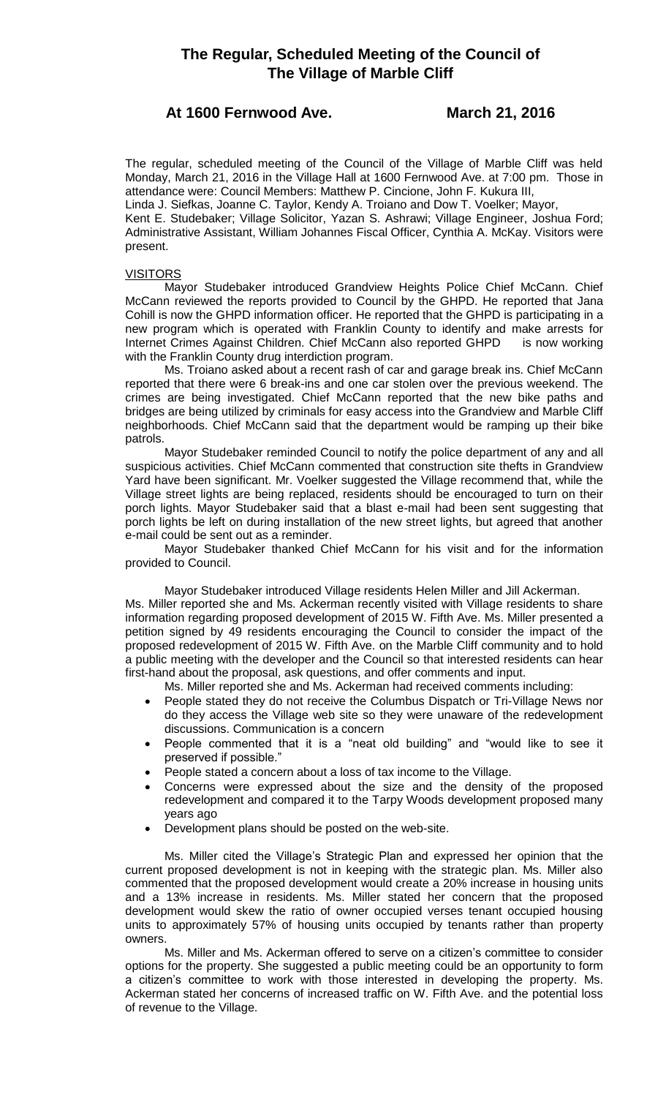# **The Regular, Scheduled Meeting of the Council of The Village of Marble Cliff**

## **At 1600 Fernwood Ave. March 21, 2016**

The regular, scheduled meeting of the Council of the Village of Marble Cliff was held Monday, March 21, 2016 in the Village Hall at 1600 Fernwood Ave. at 7:00 pm. Those in attendance were: Council Members: Matthew P. Cincione, John F. Kukura III, Linda J. Siefkas, Joanne C. Taylor, Kendy A. Troiano and Dow T. Voelker; Mayor,

Kent E. Studebaker; Village Solicitor, Yazan S. Ashrawi; Village Engineer, Joshua Ford; Administrative Assistant, William Johannes Fiscal Officer, Cynthia A. McKay. Visitors were present.

## **VISITORS**

Mayor Studebaker introduced Grandview Heights Police Chief McCann. Chief McCann reviewed the reports provided to Council by the GHPD. He reported that Jana Cohill is now the GHPD information officer. He reported that the GHPD is participating in a new program which is operated with Franklin County to identify and make arrests for Internet Crimes Against Children. Chief McCann also reported GHPD is now working with the Franklin County drug interdiction program.

Ms. Troiano asked about a recent rash of car and garage break ins. Chief McCann reported that there were 6 break-ins and one car stolen over the previous weekend. The crimes are being investigated. Chief McCann reported that the new bike paths and bridges are being utilized by criminals for easy access into the Grandview and Marble Cliff neighborhoods. Chief McCann said that the department would be ramping up their bike patrols.

Mayor Studebaker reminded Council to notify the police department of any and all suspicious activities. Chief McCann commented that construction site thefts in Grandview Yard have been significant. Mr. Voelker suggested the Village recommend that, while the Village street lights are being replaced, residents should be encouraged to turn on their porch lights. Mayor Studebaker said that a blast e-mail had been sent suggesting that porch lights be left on during installation of the new street lights, but agreed that another e-mail could be sent out as a reminder.

Mayor Studebaker thanked Chief McCann for his visit and for the information provided to Council.

Mayor Studebaker introduced Village residents Helen Miller and Jill Ackerman. Ms. Miller reported she and Ms. Ackerman recently visited with Village residents to share information regarding proposed development of 2015 W. Fifth Ave. Ms. Miller presented a petition signed by 49 residents encouraging the Council to consider the impact of the proposed redevelopment of 2015 W. Fifth Ave. on the Marble Cliff community and to hold a public meeting with the developer and the Council so that interested residents can hear first-hand about the proposal, ask questions, and offer comments and input.

Ms. Miller reported she and Ms. Ackerman had received comments including:

- People stated they do not receive the Columbus Dispatch or Tri-Village News nor do they access the Village web site so they were unaware of the redevelopment discussions. Communication is a concern
- People commented that it is a "neat old building" and "would like to see it preserved if possible."
- People stated a concern about a loss of tax income to the Village.
- Concerns were expressed about the size and the density of the proposed redevelopment and compared it to the Tarpy Woods development proposed many years ago
- Development plans should be posted on the web-site.

Ms. Miller cited the Village's Strategic Plan and expressed her opinion that the current proposed development is not in keeping with the strategic plan. Ms. Miller also commented that the proposed development would create a 20% increase in housing units and a 13% increase in residents. Ms. Miller stated her concern that the proposed development would skew the ratio of owner occupied verses tenant occupied housing units to approximately 57% of housing units occupied by tenants rather than property owners.

Ms. Miller and Ms. Ackerman offered to serve on a citizen's committee to consider options for the property. She suggested a public meeting could be an opportunity to form a citizen's committee to work with those interested in developing the property. Ms. Ackerman stated her concerns of increased traffic on W. Fifth Ave. and the potential loss of revenue to the Village.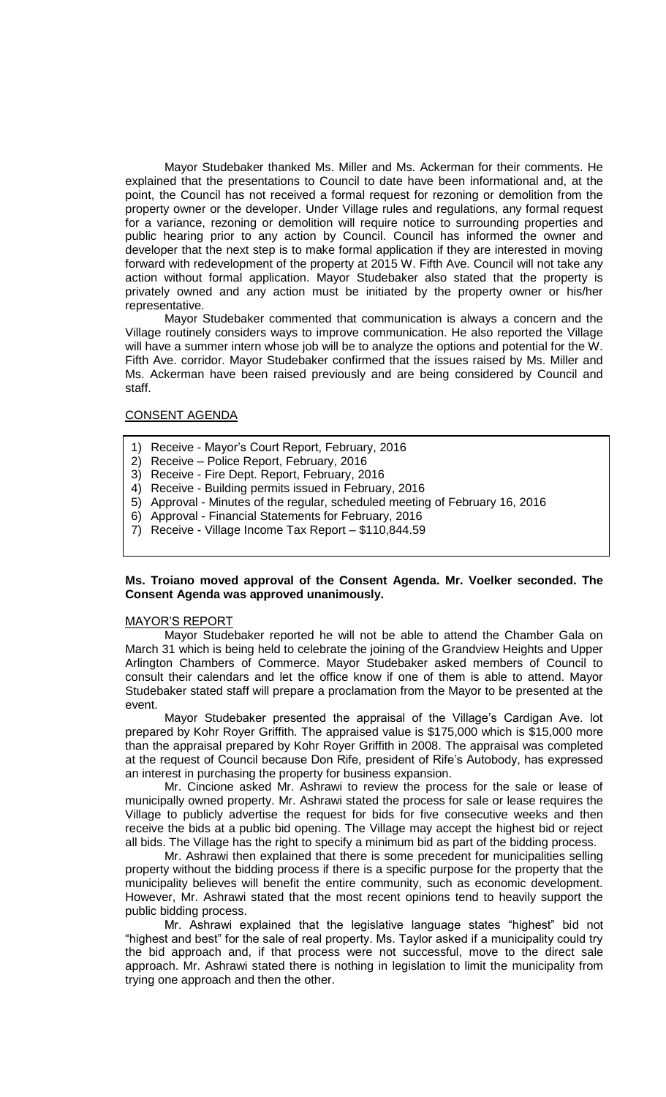Mayor Studebaker thanked Ms. Miller and Ms. Ackerman for their comments. He explained that the presentations to Council to date have been informational and, at the point, the Council has not received a formal request for rezoning or demolition from the property owner or the developer. Under Village rules and regulations, any formal request for a variance, rezoning or demolition will require notice to surrounding properties and public hearing prior to any action by Council. Council has informed the owner and developer that the next step is to make formal application if they are interested in moving forward with redevelopment of the property at 2015 W. Fifth Ave. Council will not take any action without formal application. Mayor Studebaker also stated that the property is privately owned and any action must be initiated by the property owner or his/her representative.

Mayor Studebaker commented that communication is always a concern and the Village routinely considers ways to improve communication. He also reported the Village will have a summer intern whose job will be to analyze the options and potential for the W. Fifth Ave. corridor. Mayor Studebaker confirmed that the issues raised by Ms. Miller and Ms. Ackerman have been raised previously and are being considered by Council and staff.

## CONSENT AGENDA

- 1) Receive Mayor's Court Report, February, 2016
- 2) Receive Police Report, February, 2016
- 3) Receive Fire Dept. Report, February, 2016
- 4) Receive Building permits issued in February, 2016
- 5) Approval Minutes of the regular, scheduled meeting of February 16, 2016
- 6) Approval Financial Statements for February, 2016
- 7) Receive Village Income Tax Report \$110,844.59

## **Ms. Troiano moved approval of the Consent Agenda. Mr. Voelker seconded. The Consent Agenda was approved unanimously.**

#### MAYOR'S REPORT

Mayor Studebaker reported he will not be able to attend the Chamber Gala on March 31 which is being held to celebrate the joining of the Grandview Heights and Upper Arlington Chambers of Commerce. Mayor Studebaker asked members of Council to consult their calendars and let the office know if one of them is able to attend. Mayor Studebaker stated staff will prepare a proclamation from the Mayor to be presented at the event.

Mayor Studebaker presented the appraisal of the Village's Cardigan Ave. lot prepared by Kohr Royer Griffith. The appraised value is \$175,000 which is \$15,000 more than the appraisal prepared by Kohr Royer Griffith in 2008. The appraisal was completed at the request of Council because Don Rife, president of Rife's Autobody, has expressed an interest in purchasing the property for business expansion.

Mr. Cincione asked Mr. Ashrawi to review the process for the sale or lease of municipally owned property. Mr. Ashrawi stated the process for sale or lease requires the Village to publicly advertise the request for bids for five consecutive weeks and then receive the bids at a public bid opening. The Village may accept the highest bid or reject all bids. The Village has the right to specify a minimum bid as part of the bidding process.

Mr. Ashrawi then explained that there is some precedent for municipalities selling property without the bidding process if there is a specific purpose for the property that the municipality believes will benefit the entire community, such as economic development. However, Mr. Ashrawi stated that the most recent opinions tend to heavily support the public bidding process.

Mr. Ashrawi explained that the legislative language states "highest" bid not "highest and best" for the sale of real property. Ms. Taylor asked if a municipality could try the bid approach and, if that process were not successful, move to the direct sale approach. Mr. Ashrawi stated there is nothing in legislation to limit the municipality from trying one approach and then the other.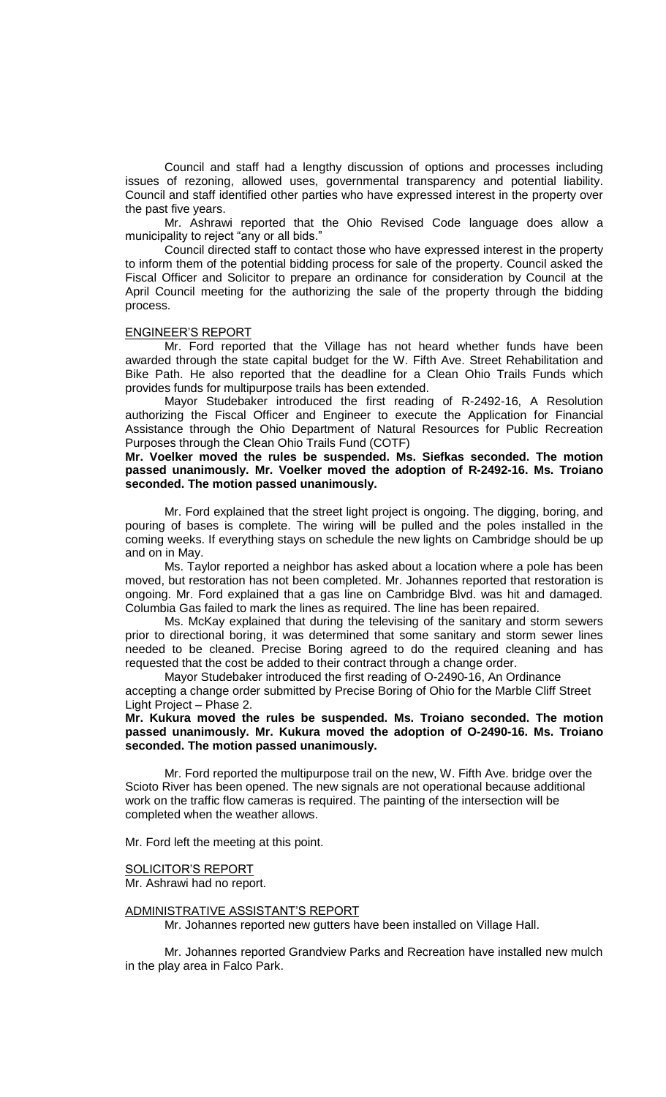Council and staff had a lengthy discussion of options and processes including issues of rezoning, allowed uses, governmental transparency and potential liability. Council and staff identified other parties who have expressed interest in the property over the past five years.

Mr. Ashrawi reported that the Ohio Revised Code language does allow a municipality to reject "any or all bids."

Council directed staff to contact those who have expressed interest in the property to inform them of the potential bidding process for sale of the property. Council asked the Fiscal Officer and Solicitor to prepare an ordinance for consideration by Council at the April Council meeting for the authorizing the sale of the property through the bidding process.

## ENGINEER'S REPORT

Mr. Ford reported that the Village has not heard whether funds have been awarded through the state capital budget for the W. Fifth Ave. Street Rehabilitation and Bike Path. He also reported that the deadline for a Clean Ohio Trails Funds which provides funds for multipurpose trails has been extended.

Mayor Studebaker introduced the first reading of R-2492-16, A Resolution authorizing the Fiscal Officer and Engineer to execute the Application for Financial Assistance through the Ohio Department of Natural Resources for Public Recreation Purposes through the Clean Ohio Trails Fund (COTF)

**Mr. Voelker moved the rules be suspended. Ms. Siefkas seconded. The motion passed unanimously. Mr. Voelker moved the adoption of R-2492-16. Ms. Troiano seconded. The motion passed unanimously.**

Mr. Ford explained that the street light project is ongoing. The digging, boring, and pouring of bases is complete. The wiring will be pulled and the poles installed in the coming weeks. If everything stays on schedule the new lights on Cambridge should be up and on in May.

Ms. Taylor reported a neighbor has asked about a location where a pole has been moved, but restoration has not been completed. Mr. Johannes reported that restoration is ongoing. Mr. Ford explained that a gas line on Cambridge Blvd. was hit and damaged. Columbia Gas failed to mark the lines as required. The line has been repaired.

Ms. McKay explained that during the televising of the sanitary and storm sewers prior to directional boring, it was determined that some sanitary and storm sewer lines needed to be cleaned. Precise Boring agreed to do the required cleaning and has requested that the cost be added to their contract through a change order.

Mayor Studebaker introduced the first reading of O-2490-16, An Ordinance accepting a change order submitted by Precise Boring of Ohio for the Marble Cliff Street Light Project – Phase 2.

## **Mr. Kukura moved the rules be suspended. Ms. Troiano seconded. The motion passed unanimously. Mr. Kukura moved the adoption of O-2490-16. Ms. Troiano seconded. The motion passed unanimously.**

Mr. Ford reported the multipurpose trail on the new, W. Fifth Ave. bridge over the Scioto River has been opened. The new signals are not operational because additional work on the traffic flow cameras is required. The painting of the intersection will be completed when the weather allows.

Mr. Ford left the meeting at this point.

## SOLICITOR'S REPORT

Mr. Ashrawi had no report.

#### ADMINISTRATIVE ASSISTANT'S REPORT

Mr. Johannes reported new gutters have been installed on Village Hall.

Mr. Johannes reported Grandview Parks and Recreation have installed new mulch in the play area in Falco Park.